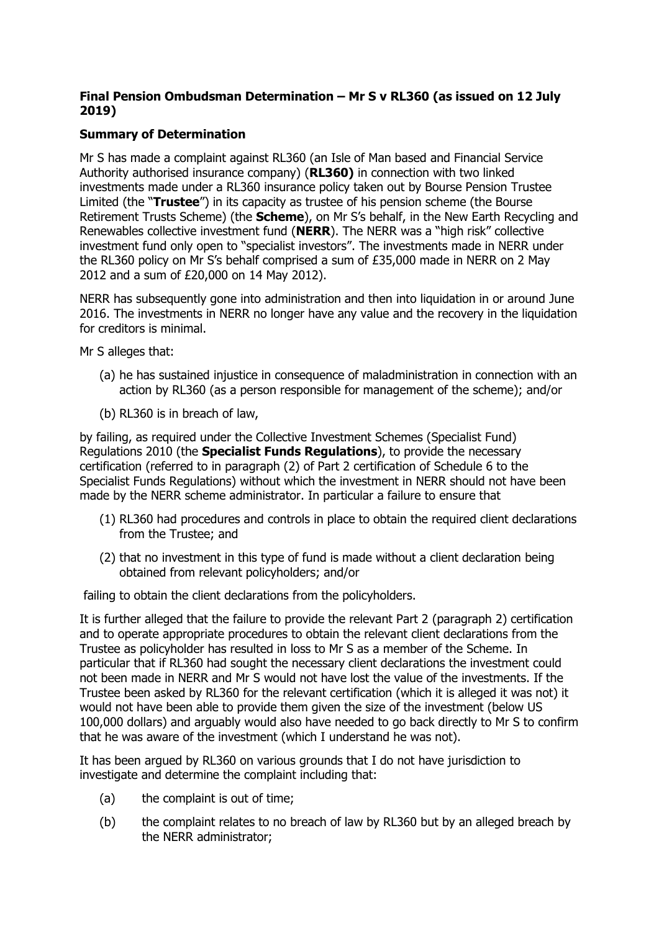# **Final Pension Ombudsman Determination – Mr S v RL360 (as issued on 12 July 2019)**

# **Summary of Determination**

Mr S has made a complaint against RL360 (an Isle of Man based and Financial Service Authority authorised insurance company) (**RL360)** in connection with two linked investments made under a RL360 insurance policy taken out by Bourse Pension Trustee Limited (the "**Trustee**") in its capacity as trustee of his pension scheme (the Bourse Retirement Trusts Scheme) (the **Scheme**), on Mr S's behalf, in the New Earth Recycling and Renewables collective investment fund (**NERR**). The NERR was a "high risk" collective investment fund only open to "specialist investors". The investments made in NERR under the RL360 policy on Mr S's behalf comprised a sum of £35,000 made in NERR on 2 May 2012 and a sum of £20,000 on 14 May 2012).

NERR has subsequently gone into administration and then into liquidation in or around June 2016. The investments in NERR no longer have any value and the recovery in the liquidation for creditors is minimal.

Mr S alleges that:

- (a) he has sustained injustice in consequence of maladministration in connection with an action by RL360 (as a person responsible for management of the scheme); and/or
- (b) RL360 is in breach of law,

by failing, as required under the Collective Investment Schemes (Specialist Fund) Regulations 2010 (the **Specialist Funds Regulations**), to provide the necessary certification (referred to in paragraph (2) of Part 2 certification of Schedule 6 to the Specialist Funds Regulations) without which the investment in NERR should not have been made by the NERR scheme administrator. In particular a failure to ensure that

- (1) RL360 had procedures and controls in place to obtain the required client declarations from the Trustee; and
- (2) that no investment in this type of fund is made without a client declaration being obtained from relevant policyholders; and/or

failing to obtain the client declarations from the policyholders.

It is further alleged that the failure to provide the relevant Part 2 (paragraph 2) certification and to operate appropriate procedures to obtain the relevant client declarations from the Trustee as policyholder has resulted in loss to Mr S as a member of the Scheme. In particular that if RL360 had sought the necessary client declarations the investment could not been made in NERR and Mr S would not have lost the value of the investments. If the Trustee been asked by RL360 for the relevant certification (which it is alleged it was not) it would not have been able to provide them given the size of the investment (below US 100,000 dollars) and arguably would also have needed to go back directly to Mr S to confirm that he was aware of the investment (which I understand he was not).

It has been argued by RL360 on various grounds that I do not have jurisdiction to investigate and determine the complaint including that:

- (a) the complaint is out of time;
- (b) the complaint relates to no breach of law by RL360 but by an alleged breach by the NERR administrator;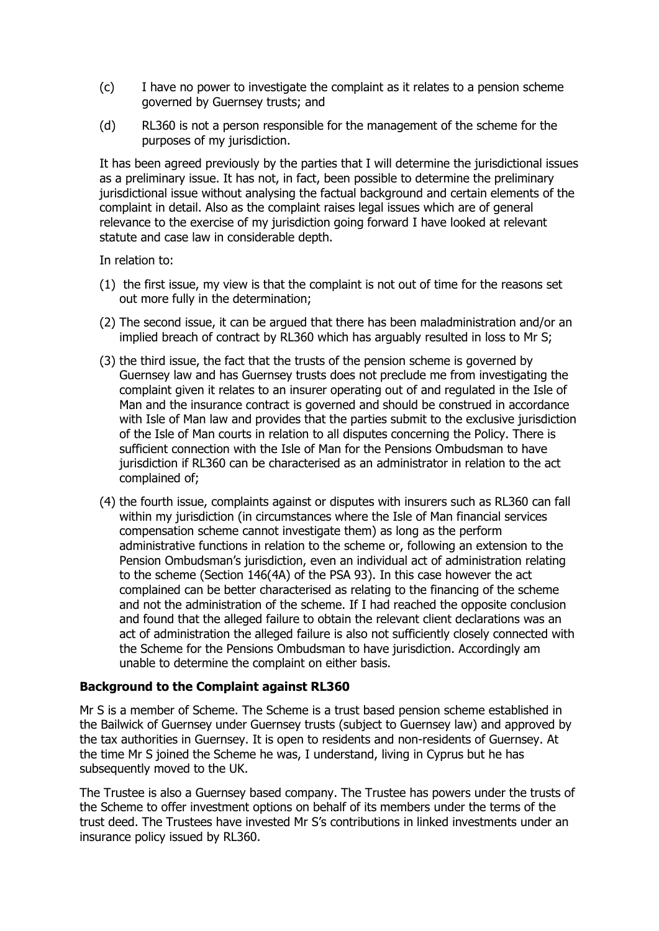- (c) I have no power to investigate the complaint as it relates to a pension scheme governed by Guernsey trusts; and
- (d) RL360 is not a person responsible for the management of the scheme for the purposes of my jurisdiction.

It has been agreed previously by the parties that I will determine the jurisdictional issues as a preliminary issue. It has not, in fact, been possible to determine the preliminary jurisdictional issue without analysing the factual background and certain elements of the complaint in detail. Also as the complaint raises legal issues which are of general relevance to the exercise of my jurisdiction going forward I have looked at relevant statute and case law in considerable depth.

In relation to:

- (1) the first issue, my view is that the complaint is not out of time for the reasons set out more fully in the determination;
- (2) The second issue, it can be argued that there has been maladministration and/or an implied breach of contract by RL360 which has arguably resulted in loss to Mr S;
- (3) the third issue, the fact that the trusts of the pension scheme is governed by Guernsey law and has Guernsey trusts does not preclude me from investigating the complaint given it relates to an insurer operating out of and regulated in the Isle of Man and the insurance contract is governed and should be construed in accordance with Isle of Man law and provides that the parties submit to the exclusive jurisdiction of the Isle of Man courts in relation to all disputes concerning the Policy. There is sufficient connection with the Isle of Man for the Pensions Ombudsman to have jurisdiction if RL360 can be characterised as an administrator in relation to the act complained of;
- (4) the fourth issue, complaints against or disputes with insurers such as RL360 can fall within my jurisdiction (in circumstances where the Isle of Man financial services compensation scheme cannot investigate them) as long as the perform administrative functions in relation to the scheme or, following an extension to the Pension Ombudsman's jurisdiction, even an individual act of administration relating to the scheme (Section 146(4A) of the PSA 93). In this case however the act complained can be better characterised as relating to the financing of the scheme and not the administration of the scheme. If I had reached the opposite conclusion and found that the alleged failure to obtain the relevant client declarations was an act of administration the alleged failure is also not sufficiently closely connected with the Scheme for the Pensions Ombudsman to have jurisdiction. Accordingly am unable to determine the complaint on either basis.

#### **Background to the Complaint against RL360**

Mr S is a member of Scheme. The Scheme is a trust based pension scheme established in the Bailwick of Guernsey under Guernsey trusts (subject to Guernsey law) and approved by the tax authorities in Guernsey. It is open to residents and non-residents of Guernsey. At the time Mr S joined the Scheme he was, I understand, living in Cyprus but he has subsequently moved to the UK.

The Trustee is also a Guernsey based company. The Trustee has powers under the trusts of the Scheme to offer investment options on behalf of its members under the terms of the trust deed. The Trustees have invested Mr S's contributions in linked investments under an insurance policy issued by RL360.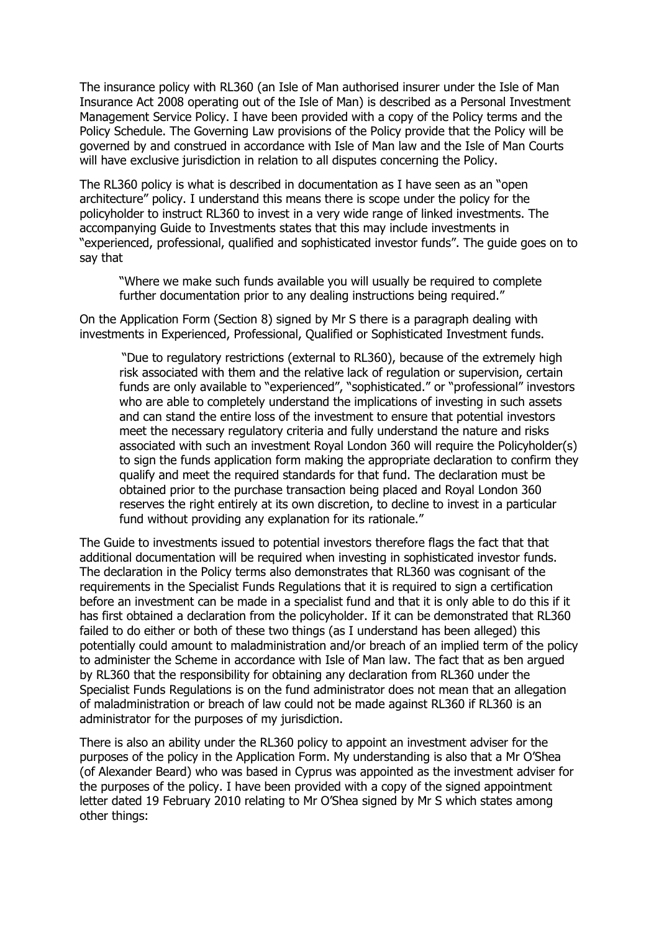The insurance policy with RL360 (an Isle of Man authorised insurer under the Isle of Man Insurance Act 2008 operating out of the Isle of Man) is described as a Personal Investment Management Service Policy. I have been provided with a copy of the Policy terms and the Policy Schedule. The Governing Law provisions of the Policy provide that the Policy will be governed by and construed in accordance with Isle of Man law and the Isle of Man Courts will have exclusive jurisdiction in relation to all disputes concerning the Policy.

The RL360 policy is what is described in documentation as I have seen as an "open architecture" policy. I understand this means there is scope under the policy for the policyholder to instruct RL360 to invest in a very wide range of linked investments. The accompanying Guide to Investments states that this may include investments in "experienced, professional, qualified and sophisticated investor funds". The guide goes on to say that

"Where we make such funds available you will usually be required to complete further documentation prior to any dealing instructions being required."

On the Application Form (Section 8) signed by Mr S there is a paragraph dealing with investments in Experienced, Professional, Qualified or Sophisticated Investment funds.

"Due to regulatory restrictions (external to RL360), because of the extremely high risk associated with them and the relative lack of regulation or supervision, certain funds are only available to "experienced", "sophisticated." or "professional" investors who are able to completely understand the implications of investing in such assets and can stand the entire loss of the investment to ensure that potential investors meet the necessary regulatory criteria and fully understand the nature and risks associated with such an investment Royal London 360 will require the Policyholder(s) to sign the funds application form making the appropriate declaration to confirm they qualify and meet the required standards for that fund. The declaration must be obtained prior to the purchase transaction being placed and Royal London 360 reserves the right entirely at its own discretion, to decline to invest in a particular fund without providing any explanation for its rationale."

The Guide to investments issued to potential investors therefore flags the fact that that additional documentation will be required when investing in sophisticated investor funds. The declaration in the Policy terms also demonstrates that RL360 was cognisant of the requirements in the Specialist Funds Regulations that it is required to sign a certification before an investment can be made in a specialist fund and that it is only able to do this if it has first obtained a declaration from the policyholder. If it can be demonstrated that RL360 failed to do either or both of these two things (as I understand has been alleged) this potentially could amount to maladministration and/or breach of an implied term of the policy to administer the Scheme in accordance with Isle of Man law. The fact that as ben argued by RL360 that the responsibility for obtaining any declaration from RL360 under the Specialist Funds Regulations is on the fund administrator does not mean that an allegation of maladministration or breach of law could not be made against RL360 if RL360 is an administrator for the purposes of my jurisdiction.

There is also an ability under the RL360 policy to appoint an investment adviser for the purposes of the policy in the Application Form. My understanding is also that a Mr O'Shea (of Alexander Beard) who was based in Cyprus was appointed as the investment adviser for the purposes of the policy. I have been provided with a copy of the signed appointment letter dated 19 February 2010 relating to Mr O'Shea signed by Mr S which states among other things: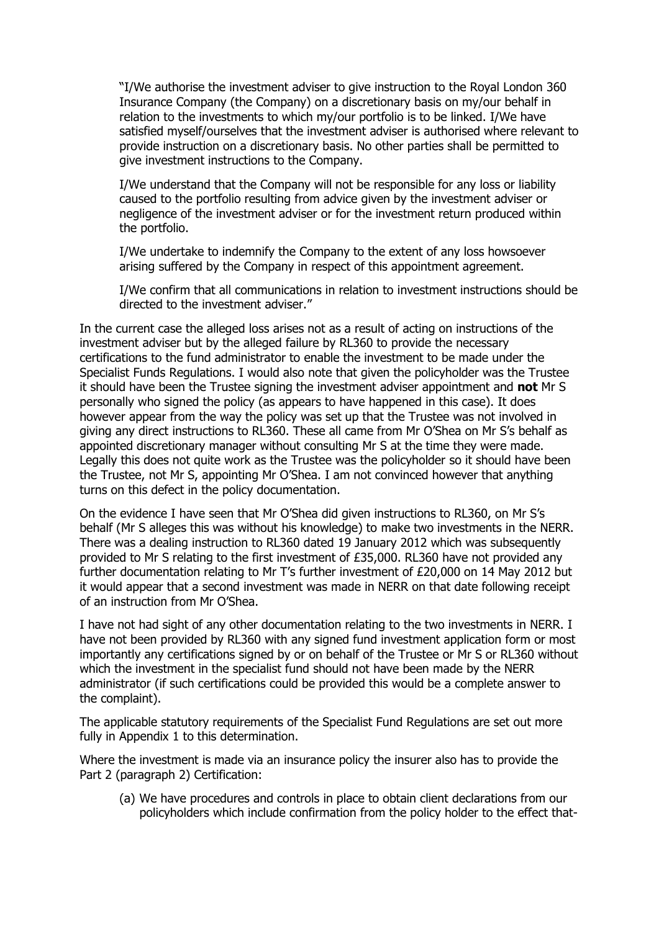"I/We authorise the investment adviser to give instruction to the Royal London 360 Insurance Company (the Company) on a discretionary basis on my/our behalf in relation to the investments to which my/our portfolio is to be linked. I/We have satisfied myself/ourselves that the investment adviser is authorised where relevant to provide instruction on a discretionary basis. No other parties shall be permitted to give investment instructions to the Company.

I/We understand that the Company will not be responsible for any loss or liability caused to the portfolio resulting from advice given by the investment adviser or negligence of the investment adviser or for the investment return produced within the portfolio.

I/We undertake to indemnify the Company to the extent of any loss howsoever arising suffered by the Company in respect of this appointment agreement.

I/We confirm that all communications in relation to investment instructions should be directed to the investment adviser."

In the current case the alleged loss arises not as a result of acting on instructions of the investment adviser but by the alleged failure by RL360 to provide the necessary certifications to the fund administrator to enable the investment to be made under the Specialist Funds Regulations. I would also note that given the policyholder was the Trustee it should have been the Trustee signing the investment adviser appointment and **not** Mr S personally who signed the policy (as appears to have happened in this case). It does however appear from the way the policy was set up that the Trustee was not involved in giving any direct instructions to RL360. These all came from Mr O'Shea on Mr S's behalf as appointed discretionary manager without consulting Mr S at the time they were made. Legally this does not quite work as the Trustee was the policyholder so it should have been the Trustee, not Mr S, appointing Mr O'Shea. I am not convinced however that anything turns on this defect in the policy documentation.

On the evidence I have seen that Mr O'Shea did given instructions to RL360, on Mr S's behalf (Mr S alleges this was without his knowledge) to make two investments in the NERR. There was a dealing instruction to RL360 dated 19 January 2012 which was subsequently provided to Mr S relating to the first investment of £35,000. RL360 have not provided any further documentation relating to Mr T's further investment of £20,000 on 14 May 2012 but it would appear that a second investment was made in NERR on that date following receipt of an instruction from Mr O'Shea.

I have not had sight of any other documentation relating to the two investments in NERR. I have not been provided by RL360 with any signed fund investment application form or most importantly any certifications signed by or on behalf of the Trustee or Mr S or RL360 without which the investment in the specialist fund should not have been made by the NERR administrator (if such certifications could be provided this would be a complete answer to the complaint).

The applicable statutory requirements of the Specialist Fund Regulations are set out more fully in Appendix 1 to this determination.

Where the investment is made via an insurance policy the insurer also has to provide the Part 2 (paragraph 2) Certification:

(a) We have procedures and controls in place to obtain client declarations from our policyholders which include confirmation from the policy holder to the effect that-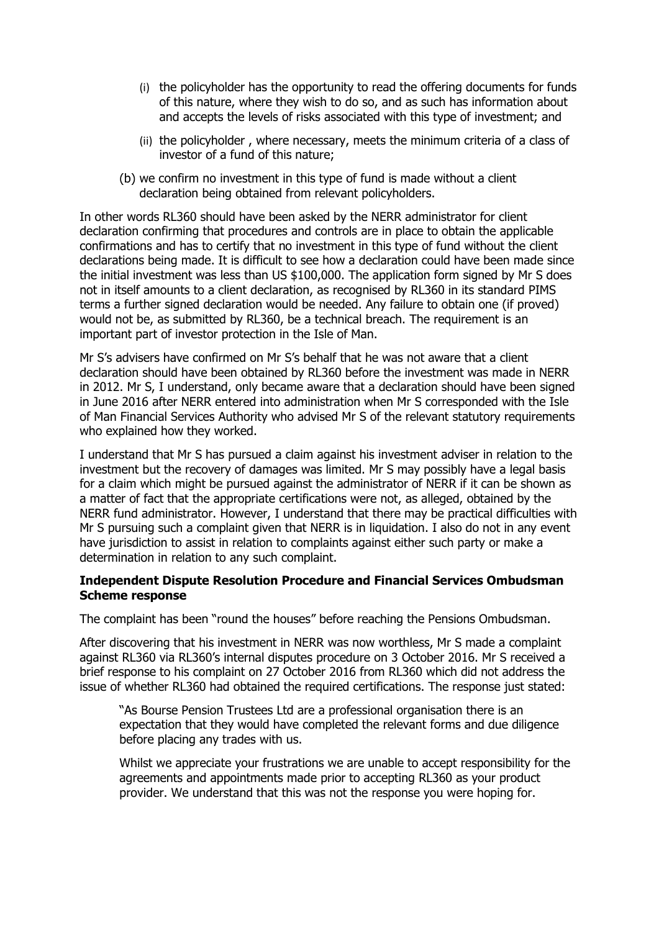- (i) the policyholder has the opportunity to read the offering documents for funds of this nature, where they wish to do so, and as such has information about and accepts the levels of risks associated with this type of investment; and
- (ii) the policyholder , where necessary, meets the minimum criteria of a class of investor of a fund of this nature;
- (b) we confirm no investment in this type of fund is made without a client declaration being obtained from relevant policyholders.

In other words RL360 should have been asked by the NERR administrator for client declaration confirming that procedures and controls are in place to obtain the applicable confirmations and has to certify that no investment in this type of fund without the client declarations being made. It is difficult to see how a declaration could have been made since the initial investment was less than US \$100,000. The application form signed by Mr S does not in itself amounts to a client declaration, as recognised by RL360 in its standard PIMS terms a further signed declaration would be needed. Any failure to obtain one (if proved) would not be, as submitted by RL360, be a technical breach. The requirement is an important part of investor protection in the Isle of Man.

Mr S's advisers have confirmed on Mr S's behalf that he was not aware that a client declaration should have been obtained by RL360 before the investment was made in NERR in 2012. Mr S, I understand, only became aware that a declaration should have been signed in June 2016 after NERR entered into administration when Mr S corresponded with the Isle of Man Financial Services Authority who advised Mr S of the relevant statutory requirements who explained how they worked.

I understand that Mr S has pursued a claim against his investment adviser in relation to the investment but the recovery of damages was limited. Mr S may possibly have a legal basis for a claim which might be pursued against the administrator of NERR if it can be shown as a matter of fact that the appropriate certifications were not, as alleged, obtained by the NERR fund administrator. However, I understand that there may be practical difficulties with Mr S pursuing such a complaint given that NERR is in liquidation. I also do not in any event have jurisdiction to assist in relation to complaints against either such party or make a determination in relation to any such complaint.

## **Independent Dispute Resolution Procedure and Financial Services Ombudsman Scheme response**

The complaint has been "round the houses" before reaching the Pensions Ombudsman.

After discovering that his investment in NERR was now worthless, Mr S made a complaint against RL360 via RL360's internal disputes procedure on 3 October 2016. Mr S received a brief response to his complaint on 27 October 2016 from RL360 which did not address the issue of whether RL360 had obtained the required certifications. The response just stated:

"As Bourse Pension Trustees Ltd are a professional organisation there is an expectation that they would have completed the relevant forms and due diligence before placing any trades with us.

Whilst we appreciate your frustrations we are unable to accept responsibility for the agreements and appointments made prior to accepting RL360 as your product provider. We understand that this was not the response you were hoping for.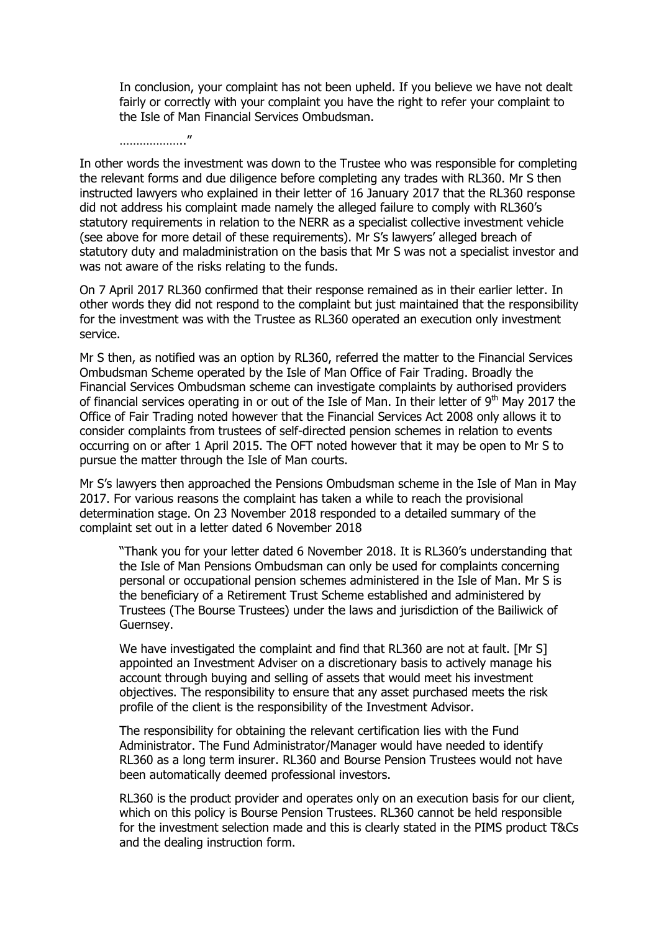In conclusion, your complaint has not been upheld. If you believe we have not dealt fairly or correctly with your complaint you have the right to refer your complaint to the Isle of Man Financial Services Ombudsman.

In other words the investment was down to the Trustee who was responsible for completing the relevant forms and due diligence before completing any trades with RL360. Mr S then instructed lawyers who explained in their letter of 16 January 2017 that the RL360 response did not address his complaint made namely the alleged failure to comply with RL360's statutory requirements in relation to the NERR as a specialist collective investment vehicle (see above for more detail of these requirements). Mr S's lawyers' alleged breach of statutory duty and maladministration on the basis that Mr S was not a specialist investor and was not aware of the risks relating to the funds.

……………….."

On 7 April 2017 RL360 confirmed that their response remained as in their earlier letter. In other words they did not respond to the complaint but just maintained that the responsibility for the investment was with the Trustee as RL360 operated an execution only investment service.

Mr S then, as notified was an option by RL360, referred the matter to the Financial Services Ombudsman Scheme operated by the Isle of Man Office of Fair Trading. Broadly the Financial Services Ombudsman scheme can investigate complaints by authorised providers of financial services operating in or out of the Isle of Man. In their letter of  $9<sup>th</sup>$  May 2017 the Office of Fair Trading noted however that the Financial Services Act 2008 only allows it to consider complaints from trustees of self-directed pension schemes in relation to events occurring on or after 1 April 2015. The OFT noted however that it may be open to Mr S to pursue the matter through the Isle of Man courts.

Mr S's lawyers then approached the Pensions Ombudsman scheme in the Isle of Man in May 2017. For various reasons the complaint has taken a while to reach the provisional determination stage. On 23 November 2018 responded to a detailed summary of the complaint set out in a letter dated 6 November 2018

"Thank you for your letter dated 6 November 2018. It is RL360's understanding that the Isle of Man Pensions Ombudsman can only be used for complaints concerning personal or occupational pension schemes administered in the Isle of Man. Mr S is the beneficiary of a Retirement Trust Scheme established and administered by Trustees (The Bourse Trustees) under the laws and jurisdiction of the Bailiwick of Guernsey.

We have investigated the complaint and find that RL360 are not at fault. [Mr S] appointed an Investment Adviser on a discretionary basis to actively manage his account through buying and selling of assets that would meet his investment objectives. The responsibility to ensure that any asset purchased meets the risk profile of the client is the responsibility of the Investment Advisor.

The responsibility for obtaining the relevant certification lies with the Fund Administrator. The Fund Administrator/Manager would have needed to identify RL360 as a long term insurer. RL360 and Bourse Pension Trustees would not have been automatically deemed professional investors.

RL360 is the product provider and operates only on an execution basis for our client, which on this policy is Bourse Pension Trustees. RL360 cannot be held responsible for the investment selection made and this is clearly stated in the PIMS product T&Cs and the dealing instruction form.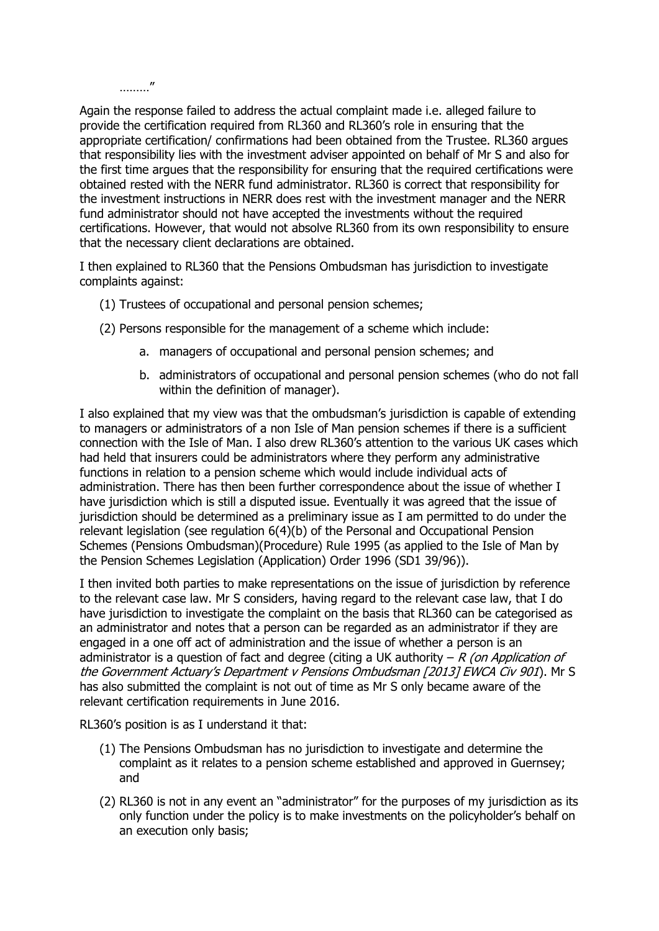………"

Again the response failed to address the actual complaint made i.e. alleged failure to provide the certification required from RL360 and RL360's role in ensuring that the appropriate certification/ confirmations had been obtained from the Trustee. RL360 argues that responsibility lies with the investment adviser appointed on behalf of Mr S and also for the first time argues that the responsibility for ensuring that the required certifications were obtained rested with the NERR fund administrator. RL360 is correct that responsibility for the investment instructions in NERR does rest with the investment manager and the NERR fund administrator should not have accepted the investments without the required certifications. However, that would not absolve RL360 from its own responsibility to ensure that the necessary client declarations are obtained.

I then explained to RL360 that the Pensions Ombudsman has jurisdiction to investigate complaints against:

- (1) Trustees of occupational and personal pension schemes;
- (2) Persons responsible for the management of a scheme which include:
	- a. managers of occupational and personal pension schemes; and
	- b. administrators of occupational and personal pension schemes (who do not fall within the definition of manager).

I also explained that my view was that the ombudsman's jurisdiction is capable of extending to managers or administrators of a non Isle of Man pension schemes if there is a sufficient connection with the Isle of Man. I also drew RL360's attention to the various UK cases which had held that insurers could be administrators where they perform any administrative functions in relation to a pension scheme which would include individual acts of administration. There has then been further correspondence about the issue of whether I have jurisdiction which is still a disputed issue. Eventually it was agreed that the issue of jurisdiction should be determined as a preliminary issue as I am permitted to do under the relevant legislation (see regulation 6(4)(b) of the Personal and Occupational Pension Schemes (Pensions Ombudsman)(Procedure) Rule 1995 (as applied to the Isle of Man by the Pension Schemes Legislation (Application) Order 1996 (SD1 39/96)).

I then invited both parties to make representations on the issue of jurisdiction by reference to the relevant case law. Mr S considers, having regard to the relevant case law, that I do have jurisdiction to investigate the complaint on the basis that RL360 can be categorised as an administrator and notes that a person can be regarded as an administrator if they are engaged in a one off act of administration and the issue of whether a person is an administrator is a question of fact and degree (citing a UK authority  $-R$  (on Application of the Government Actuary's Department v Pensions Ombudsman [2013] EWCA Civ 901). Mr S has also submitted the complaint is not out of time as Mr S only became aware of the relevant certification requirements in June 2016.

RL360's position is as I understand it that:

- (1) The Pensions Ombudsman has no jurisdiction to investigate and determine the complaint as it relates to a pension scheme established and approved in Guernsey; and
- (2) RL360 is not in any event an "administrator" for the purposes of my jurisdiction as its only function under the policy is to make investments on the policyholder's behalf on an execution only basis;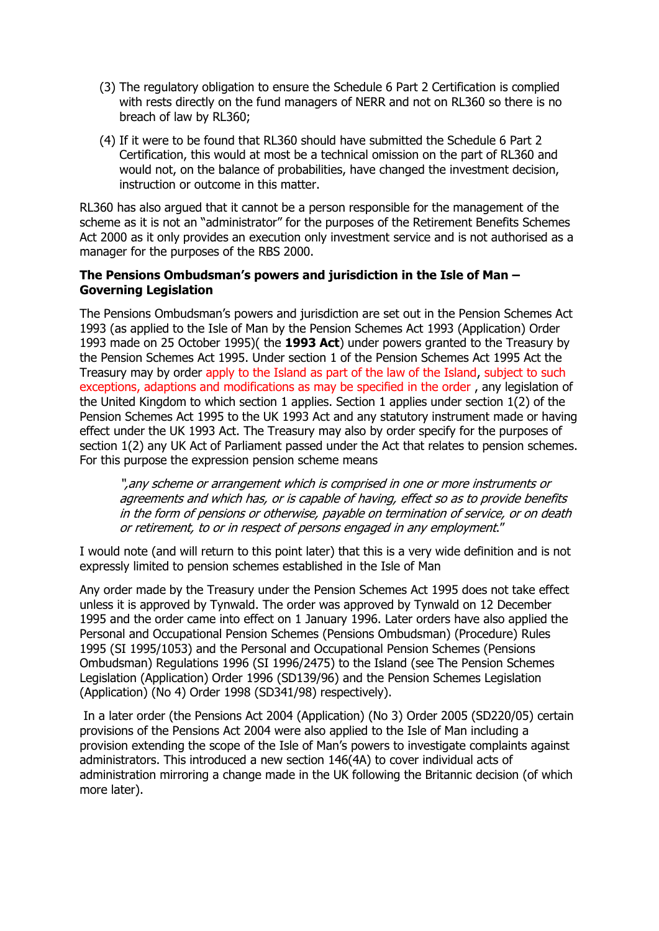- (3) The regulatory obligation to ensure the Schedule 6 Part 2 Certification is complied with rests directly on the fund managers of NERR and not on RL360 so there is no breach of law by RL360;
- (4) If it were to be found that RL360 should have submitted the Schedule 6 Part 2 Certification, this would at most be a technical omission on the part of RL360 and would not, on the balance of probabilities, have changed the investment decision, instruction or outcome in this matter.

RL360 has also argued that it cannot be a person responsible for the management of the scheme as it is not an "administrator" for the purposes of the Retirement Benefits Schemes Act 2000 as it only provides an execution only investment service and is not authorised as a manager for the purposes of the RBS 2000.

## **The Pensions Ombudsman's powers and jurisdiction in the Isle of Man – Governing Legislation**

The Pensions Ombudsman's powers and jurisdiction are set out in the Pension Schemes Act 1993 (as applied to the Isle of Man by the Pension Schemes Act 1993 (Application) Order 1993 made on 25 October 1995)( the **1993 Act**) under powers granted to the Treasury by the Pension Schemes Act 1995. Under section 1 of the Pension Schemes Act 1995 Act the Treasury may by order apply to the Island as part of the law of the Island, subject to such exceptions, adaptions and modifications as may be specified in the order , any legislation of the United Kingdom to which section 1 applies. Section 1 applies under section 1(2) of the Pension Schemes Act 1995 to the UK 1993 Act and any statutory instrument made or having effect under the UK 1993 Act. The Treasury may also by order specify for the purposes of section 1(2) any UK Act of Parliament passed under the Act that relates to pension schemes. For this purpose the expression pension scheme means

",any scheme or arrangement which is comprised in one or more instruments or agreements and which has, or is capable of having, effect so as to provide benefits in the form of pensions or otherwise, payable on termination of service, or on death or retirement, to or in respect of persons engaged in any employment."

I would note (and will return to this point later) that this is a very wide definition and is not expressly limited to pension schemes established in the Isle of Man

Any order made by the Treasury under the Pension Schemes Act 1995 does not take effect unless it is approved by Tynwald. The order was approved by Tynwald on 12 December 1995 and the order came into effect on 1 January 1996. Later orders have also applied the Personal and Occupational Pension Schemes (Pensions Ombudsman) (Procedure) Rules 1995 (SI 1995/1053) and the Personal and Occupational Pension Schemes (Pensions Ombudsman) Regulations 1996 (SI 1996/2475) to the Island (see The Pension Schemes Legislation (Application) Order 1996 (SD139/96) and the Pension Schemes Legislation (Application) (No 4) Order 1998 (SD341/98) respectively).

In a later order (the Pensions Act 2004 (Application) (No 3) Order 2005 (SD220/05) certain provisions of the Pensions Act 2004 were also applied to the Isle of Man including a provision extending the scope of the Isle of Man's powers to investigate complaints against administrators. This introduced a new section 146(4A) to cover individual acts of administration mirroring a change made in the UK following the Britannic decision (of which more later).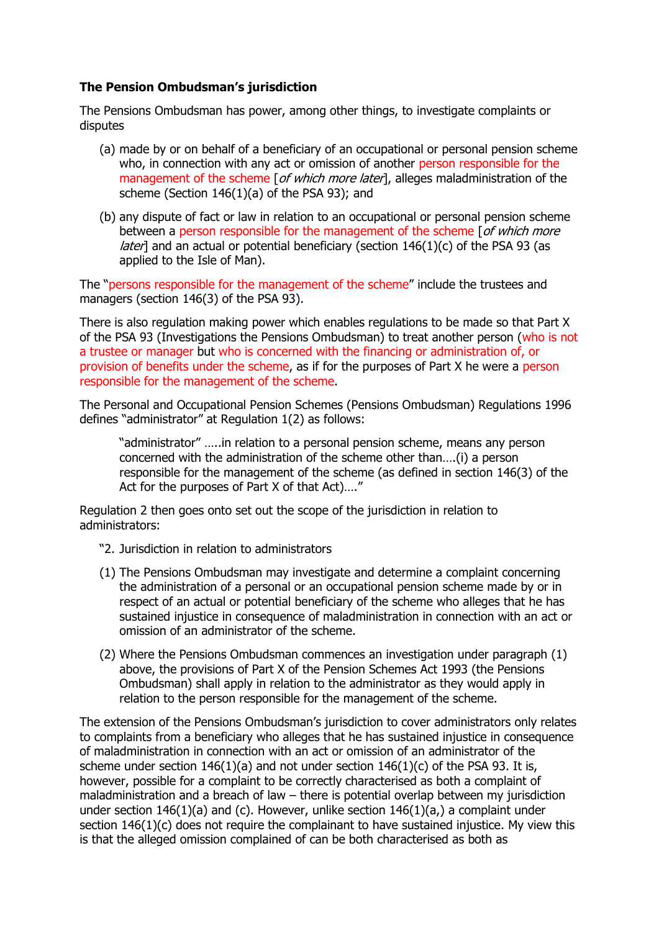# **The Pension Ombudsman's jurisdiction**

The Pensions Ombudsman has power, among other things, to investigate complaints or disputes

- (a) made by or on behalf of a beneficiary of an occupational or personal pension scheme who, in connection with any act or omission of another person responsible for the management of the scheme [ of which more later], alleges maladministration of the scheme (Section 146(1)(a) of the PSA 93); and
- (b) any dispute of fact or law in relation to an occupational or personal pension scheme between a person responsible for the management of the scheme [of which more *later*] and an actual or potential beneficiary (section  $146(1)(c)$  of the PSA 93 (as applied to the Isle of Man).

The "persons responsible for the management of the scheme" include the trustees and managers (section 146(3) of the PSA 93).

There is also regulation making power which enables regulations to be made so that Part X of the PSA 93 (Investigations the Pensions Ombudsman) to treat another person (who is not a trustee or manager but who is concerned with the financing or administration of, or provision of benefits under the scheme, as if for the purposes of Part X he were a person responsible for the management of the scheme.

The Personal and Occupational Pension Schemes (Pensions Ombudsman) Regulations 1996 defines "administrator" at Regulation 1(2) as follows:

"administrator" …..in relation to a personal pension scheme, means any person concerned with the administration of the scheme other than….(i) a person responsible for the management of the scheme (as defined in section 146(3) of the Act for the purposes of Part X of that Act)…."

Regulation 2 then goes onto set out the scope of the jurisdiction in relation to administrators:

- "2. Jurisdiction in relation to administrators
- (1) The Pensions Ombudsman may investigate and determine a complaint concerning the administration of a personal or an occupational pension scheme made by or in respect of an actual or potential beneficiary of the scheme who alleges that he has sustained injustice in consequence of maladministration in connection with an act or omission of an administrator of the scheme.
- (2) Where the Pensions Ombudsman commences an investigation under paragraph (1) above, the provisions of Part X of the Pension Schemes Act 1993 (the Pensions Ombudsman) shall apply in relation to the administrator as they would apply in relation to the person responsible for the management of the scheme.

The extension of the Pensions Ombudsman's jurisdiction to cover administrators only relates to complaints from a beneficiary who alleges that he has sustained injustice in consequence of maladministration in connection with an act or omission of an administrator of the scheme under section  $146(1)(a)$  and not under section  $146(1)(c)$  of the PSA 93. It is, however, possible for a complaint to be correctly characterised as both a complaint of maladministration and a breach of law – there is potential overlap between my jurisdiction under section  $146(1)(a)$  and (c). However, unlike section  $146(1)(a)$ , a complaint under section 146(1)(c) does not require the complainant to have sustained injustice. My view this is that the alleged omission complained of can be both characterised as both as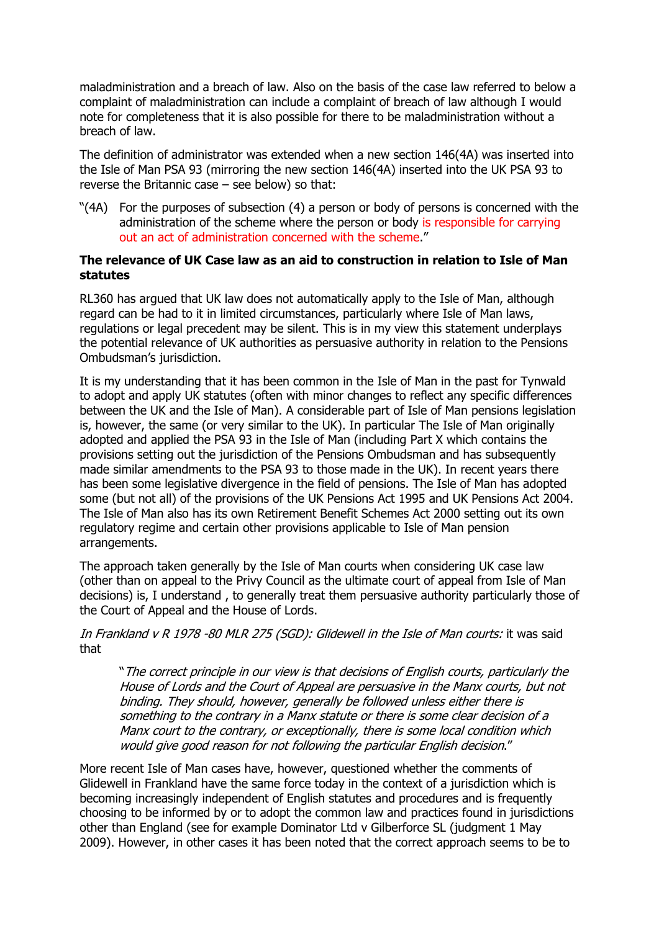maladministration and a breach of law. Also on the basis of the case law referred to below a complaint of maladministration can include a complaint of breach of law although I would note for completeness that it is also possible for there to be maladministration without a breach of law.

The definition of administrator was extended when a new section 146(4A) was inserted into the Isle of Man PSA 93 (mirroring the new section 146(4A) inserted into the UK PSA 93 to reverse the Britannic case – see below) so that:

"(4A) For the purposes of subsection (4) a person or body of persons is concerned with the administration of the scheme where the person or body is responsible for carrying out an act of administration concerned with the scheme."

#### **The relevance of UK Case law as an aid to construction in relation to Isle of Man statutes**

RL360 has argued that UK law does not automatically apply to the Isle of Man, although regard can be had to it in limited circumstances, particularly where Isle of Man laws, regulations or legal precedent may be silent. This is in my view this statement underplays the potential relevance of UK authorities as persuasive authority in relation to the Pensions Ombudsman's jurisdiction.

It is my understanding that it has been common in the Isle of Man in the past for Tynwald to adopt and apply UK statutes (often with minor changes to reflect any specific differences between the UK and the Isle of Man). A considerable part of Isle of Man pensions legislation is, however, the same (or very similar to the UK). In particular The Isle of Man originally adopted and applied the PSA 93 in the Isle of Man (including Part X which contains the provisions setting out the jurisdiction of the Pensions Ombudsman and has subsequently made similar amendments to the PSA 93 to those made in the UK). In recent years there has been some legislative divergence in the field of pensions. The Isle of Man has adopted some (but not all) of the provisions of the UK Pensions Act 1995 and UK Pensions Act 2004. The Isle of Man also has its own Retirement Benefit Schemes Act 2000 setting out its own regulatory regime and certain other provisions applicable to Isle of Man pension arrangements.

The approach taken generally by the Isle of Man courts when considering UK case law (other than on appeal to the Privy Council as the ultimate court of appeal from Isle of Man decisions) is, I understand , to generally treat them persuasive authority particularly those of the Court of Appeal and the House of Lords.

In Frankland v R 1978 -80 MLR 275 (SGD): Glidewell in the Isle of Man courts: it was said that

"The correct principle in our view is that decisions of English courts, particularly the House of Lords and the Court of Appeal are persuasive in the Manx courts, but not binding. They should, however, generally be followed unless either there is something to the contrary in a Manx statute or there is some clear decision of a Manx court to the contrary, or exceptionally, there is some local condition which would give good reason for not following the particular English decision."

More recent Isle of Man cases have, however, questioned whether the comments of Glidewell in Frankland have the same force today in the context of a jurisdiction which is becoming increasingly independent of English statutes and procedures and is frequently choosing to be informed by or to adopt the common law and practices found in jurisdictions other than England (see for example Dominator Ltd v Gilberforce SL (judgment 1 May 2009). However, in other cases it has been noted that the correct approach seems to be to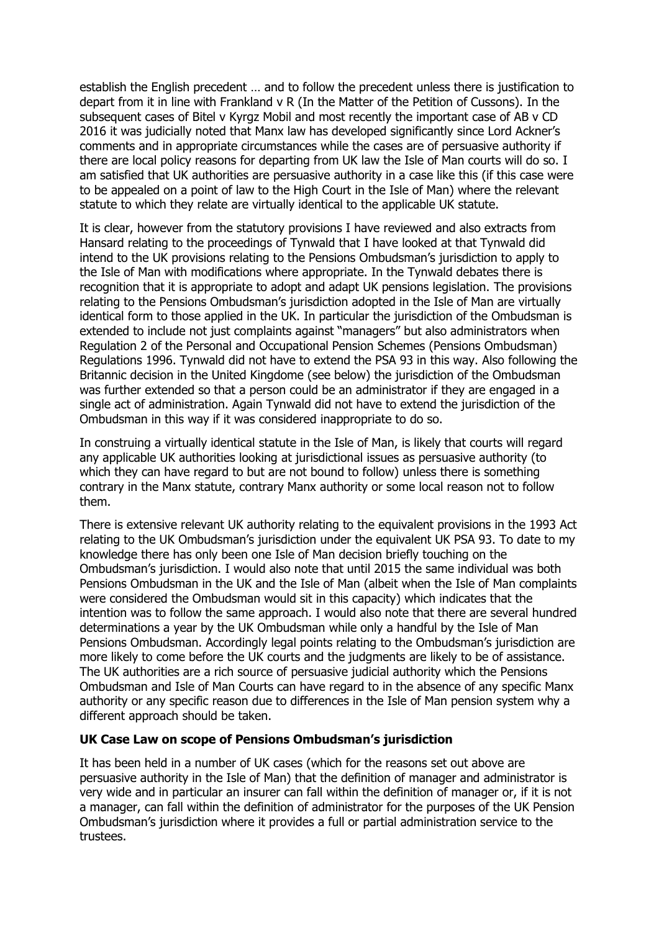establish the English precedent … and to follow the precedent unless there is justification to depart from it in line with Frankland v R (In the Matter of the Petition of Cussons). In the subsequent cases of Bitel v Kyrgz Mobil and most recently the important case of AB v CD 2016 it was judicially noted that Manx law has developed significantly since Lord Ackner's comments and in appropriate circumstances while the cases are of persuasive authority if there are local policy reasons for departing from UK law the Isle of Man courts will do so. I am satisfied that UK authorities are persuasive authority in a case like this (if this case were to be appealed on a point of law to the High Court in the Isle of Man) where the relevant statute to which they relate are virtually identical to the applicable UK statute.

It is clear, however from the statutory provisions I have reviewed and also extracts from Hansard relating to the proceedings of Tynwald that I have looked at that Tynwald did intend to the UK provisions relating to the Pensions Ombudsman's jurisdiction to apply to the Isle of Man with modifications where appropriate. In the Tynwald debates there is recognition that it is appropriate to adopt and adapt UK pensions legislation. The provisions relating to the Pensions Ombudsman's jurisdiction adopted in the Isle of Man are virtually identical form to those applied in the UK. In particular the jurisdiction of the Ombudsman is extended to include not just complaints against "managers" but also administrators when Regulation 2 of the Personal and Occupational Pension Schemes (Pensions Ombudsman) Regulations 1996. Tynwald did not have to extend the PSA 93 in this way. Also following the Britannic decision in the United Kingdome (see below) the jurisdiction of the Ombudsman was further extended so that a person could be an administrator if they are engaged in a single act of administration. Again Tynwald did not have to extend the jurisdiction of the Ombudsman in this way if it was considered inappropriate to do so.

In construing a virtually identical statute in the Isle of Man, is likely that courts will regard any applicable UK authorities looking at jurisdictional issues as persuasive authority (to which they can have regard to but are not bound to follow) unless there is something contrary in the Manx statute, contrary Manx authority or some local reason not to follow them.

There is extensive relevant UK authority relating to the equivalent provisions in the 1993 Act relating to the UK Ombudsman's jurisdiction under the equivalent UK PSA 93. To date to my knowledge there has only been one Isle of Man decision briefly touching on the Ombudsman's jurisdiction. I would also note that until 2015 the same individual was both Pensions Ombudsman in the UK and the Isle of Man (albeit when the Isle of Man complaints were considered the Ombudsman would sit in this capacity) which indicates that the intention was to follow the same approach. I would also note that there are several hundred determinations a year by the UK Ombudsman while only a handful by the Isle of Man Pensions Ombudsman. Accordingly legal points relating to the Ombudsman's jurisdiction are more likely to come before the UK courts and the judgments are likely to be of assistance. The UK authorities are a rich source of persuasive judicial authority which the Pensions Ombudsman and Isle of Man Courts can have regard to in the absence of any specific Manx authority or any specific reason due to differences in the Isle of Man pension system why a different approach should be taken.

#### **UK Case Law on scope of Pensions Ombudsman's jurisdiction**

It has been held in a number of UK cases (which for the reasons set out above are persuasive authority in the Isle of Man) that the definition of manager and administrator is very wide and in particular an insurer can fall within the definition of manager or, if it is not a manager, can fall within the definition of administrator for the purposes of the UK Pension Ombudsman's jurisdiction where it provides a full or partial administration service to the trustees.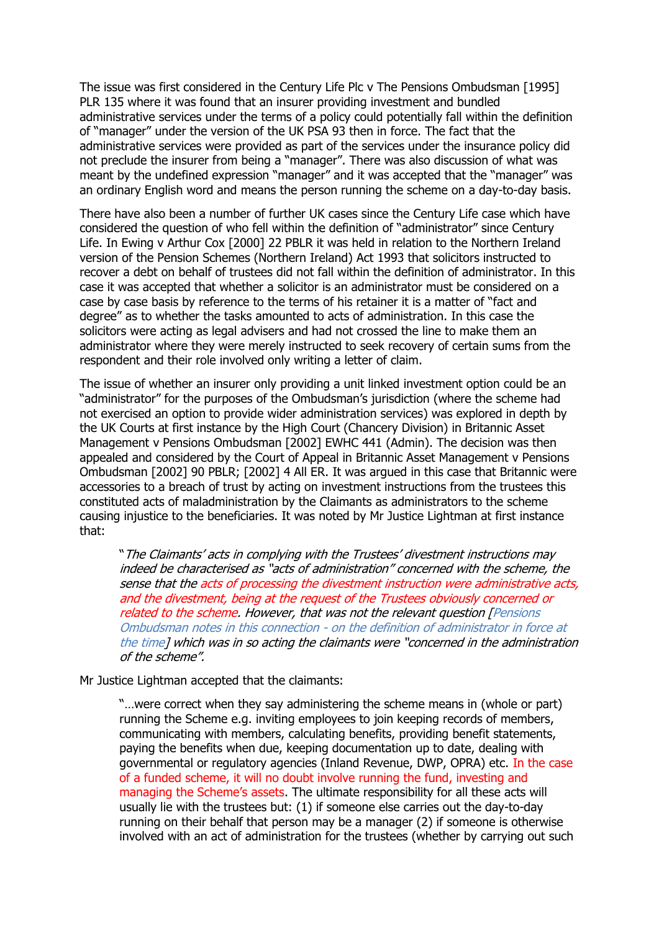The issue was first considered in the Century Life Plc v The Pensions Ombudsman [1995] PLR 135 where it was found that an insurer providing investment and bundled administrative services under the terms of a policy could potentially fall within the definition of "manager" under the version of the UK PSA 93 then in force. The fact that the administrative services were provided as part of the services under the insurance policy did not preclude the insurer from being a "manager". There was also discussion of what was meant by the undefined expression "manager" and it was accepted that the "manager" was an ordinary English word and means the person running the scheme on a day-to-day basis.

There have also been a number of further UK cases since the Century Life case which have considered the question of who fell within the definition of "administrator" since Century Life. In Ewing v Arthur Cox [2000] 22 PBLR it was held in relation to the Northern Ireland version of the Pension Schemes (Northern Ireland) Act 1993 that solicitors instructed to recover a debt on behalf of trustees did not fall within the definition of administrator. In this case it was accepted that whether a solicitor is an administrator must be considered on a case by case basis by reference to the terms of his retainer it is a matter of "fact and degree" as to whether the tasks amounted to acts of administration. In this case the solicitors were acting as legal advisers and had not crossed the line to make them an administrator where they were merely instructed to seek recovery of certain sums from the respondent and their role involved only writing a letter of claim.

The issue of whether an insurer only providing a unit linked investment option could be an "administrator" for the purposes of the Ombudsman's jurisdiction (where the scheme had not exercised an option to provide wider administration services) was explored in depth by the UK Courts at first instance by the High Court (Chancery Division) in Britannic Asset Management v Pensions Ombudsman [2002] EWHC 441 (Admin). The decision was then appealed and considered by the Court of Appeal in Britannic Asset Management v Pensions Ombudsman [2002] 90 PBLR; [2002] 4 All ER. It was argued in this case that Britannic were accessories to a breach of trust by acting on investment instructions from the trustees this constituted acts of maladministration by the Claimants as administrators to the scheme causing injustice to the beneficiaries. It was noted by Mr Justice Lightman at first instance that:

"The Claimants' acts in complying with the Trustees' divestment instructions may indeed be characterised as "acts of administration" concerned with the scheme, the sense that the acts of processing the divestment instruction were administrative acts, and the divestment, being at the request of the Trustees obviously concerned or related to the scheme. However, that was not the relevant question [Pensions Ombudsman notes in this connection - on the definition of administrator in force at the time] which was in so acting the claimants were "concerned in the administration of the scheme".

Mr Justice Lightman accepted that the claimants:

"…were correct when they say administering the scheme means in (whole or part) running the Scheme e.g. inviting employees to join keeping records of members, communicating with members, calculating benefits, providing benefit statements, paying the benefits when due, keeping documentation up to date, dealing with governmental or regulatory agencies (Inland Revenue, DWP, OPRA) etc. In the case of a funded scheme, it will no doubt involve running the fund, investing and managing the Scheme's assets. The ultimate responsibility for all these acts will usually lie with the trustees but: (1) if someone else carries out the day-to-day running on their behalf that person may be a manager (2) if someone is otherwise involved with an act of administration for the trustees (whether by carrying out such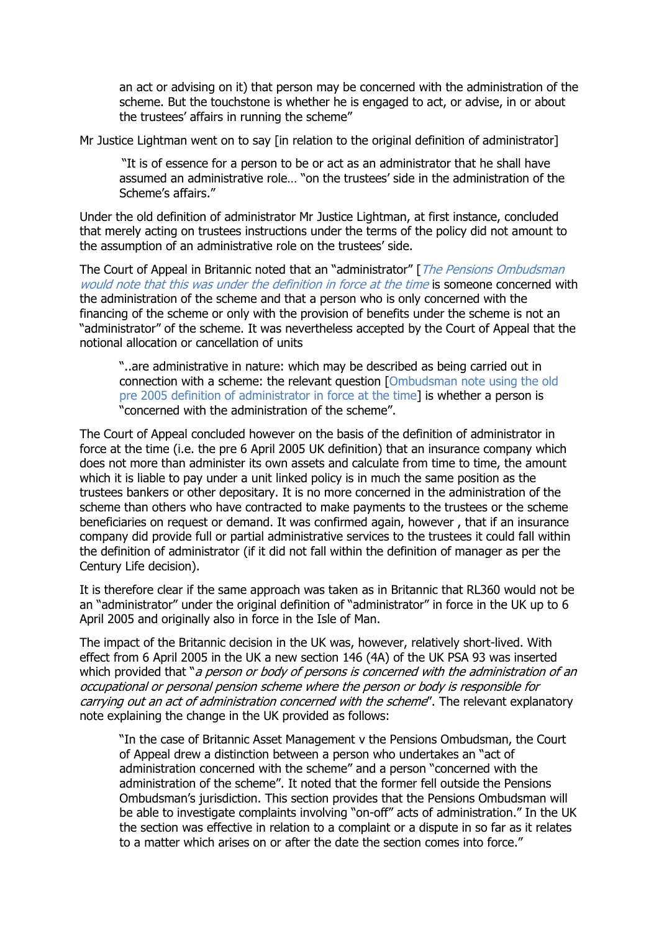an act or advising on it) that person may be concerned with the administration of the scheme. But the touchstone is whether he is engaged to act, or advise, in or about the trustees' affairs in running the scheme"

Mr Justice Lightman went on to say [in relation to the original definition of administrator]

"It is of essence for a person to be or act as an administrator that he shall have assumed an administrative role… "on the trustees' side in the administration of the Scheme's affairs."

Under the old definition of administrator Mr Justice Lightman, at first instance, concluded that merely acting on trustees instructions under the terms of the policy did not amount to the assumption of an administrative role on the trustees' side.

The Court of Appeal in Britannic noted that an "administrator" [*The Pensions Ombudsman* would note that this was under the definition in force at the time is someone concerned with the administration of the scheme and that a person who is only concerned with the financing of the scheme or only with the provision of benefits under the scheme is not an "administrator" of the scheme. It was nevertheless accepted by the Court of Appeal that the notional allocation or cancellation of units

"..are administrative in nature: which may be described as being carried out in connection with a scheme: the relevant question [Ombudsman note using the old pre 2005 definition of administrator in force at the time] is whether a person is "concerned with the administration of the scheme".

The Court of Appeal concluded however on the basis of the definition of administrator in force at the time (i.e. the pre 6 April 2005 UK definition) that an insurance company which does not more than administer its own assets and calculate from time to time, the amount which it is liable to pay under a unit linked policy is in much the same position as the trustees bankers or other depositary. It is no more concerned in the administration of the scheme than others who have contracted to make payments to the trustees or the scheme beneficiaries on request or demand. It was confirmed again, however , that if an insurance company did provide full or partial administrative services to the trustees it could fall within the definition of administrator (if it did not fall within the definition of manager as per the Century Life decision).

It is therefore clear if the same approach was taken as in Britannic that RL360 would not be an "administrator" under the original definition of "administrator" in force in the UK up to 6 April 2005 and originally also in force in the Isle of Man.

The impact of the Britannic decision in the UK was, however, relatively short-lived. With effect from 6 April 2005 in the UK a new section 146 (4A) of the UK PSA 93 was inserted which provided that "a person or body of persons is concerned with the administration of an occupational or personal pension scheme where the person or body is responsible for carrying out an act of administration concerned with the scheme". The relevant explanatory note explaining the change in the UK provided as follows:

"In the case of Britannic Asset Management v the Pensions Ombudsman, the Court of Appeal drew a distinction between a person who undertakes an "act of administration concerned with the scheme" and a person "concerned with the administration of the scheme". It noted that the former fell outside the Pensions Ombudsman's jurisdiction. This section provides that the Pensions Ombudsman will be able to investigate complaints involving "on-off" acts of administration." In the UK the section was effective in relation to a complaint or a dispute in so far as it relates to a matter which arises on or after the date the section comes into force."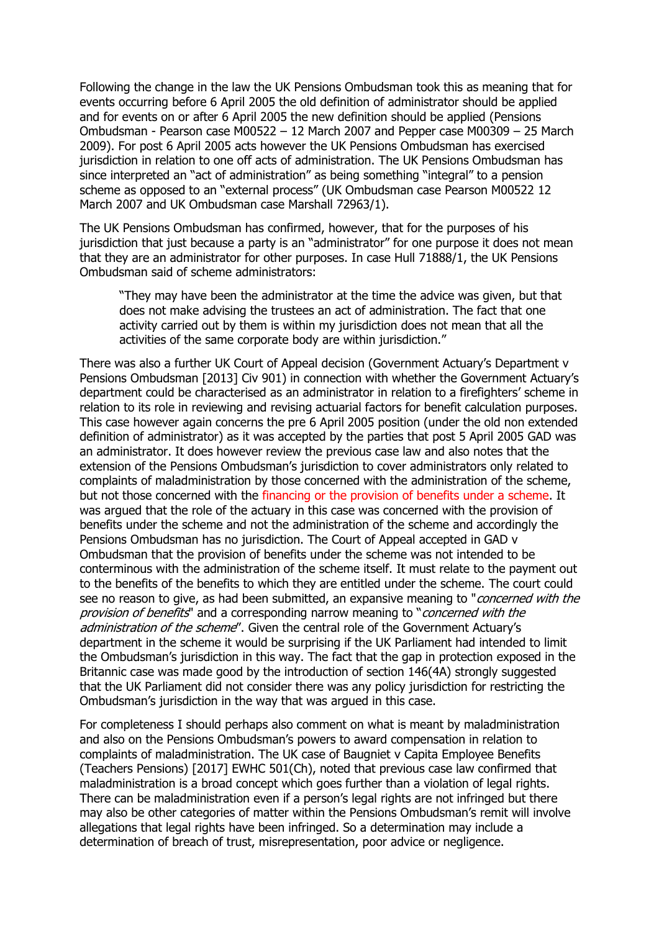Following the change in the law the UK Pensions Ombudsman took this as meaning that for events occurring before 6 April 2005 the old definition of administrator should be applied and for events on or after 6 April 2005 the new definition should be applied (Pensions Ombudsman - Pearson case M00522 – 12 March 2007 and Pepper case M00309 – 25 March 2009). For post 6 April 2005 acts however the UK Pensions Ombudsman has exercised jurisdiction in relation to one off acts of administration. The UK Pensions Ombudsman has since interpreted an "act of administration" as being something "integral" to a pension scheme as opposed to an "external process" (UK Ombudsman case Pearson M00522 12 March 2007 and UK Ombudsman case Marshall 72963/1).

The UK Pensions Ombudsman has confirmed, however, that for the purposes of his jurisdiction that just because a party is an "administrator" for one purpose it does not mean that they are an administrator for other purposes. In case Hull 71888/1, the UK Pensions Ombudsman said of scheme administrators:

"They may have been the administrator at the time the advice was given, but that does not make advising the trustees an act of administration. The fact that one activity carried out by them is within my jurisdiction does not mean that all the activities of the same corporate body are within jurisdiction."

There was also a further UK Court of Appeal decision (Government Actuary's Department v Pensions Ombudsman [2013] Civ 901) in connection with whether the Government Actuary's department could be characterised as an administrator in relation to a firefighters' scheme in relation to its role in reviewing and revising actuarial factors for benefit calculation purposes. This case however again concerns the pre 6 April 2005 position (under the old non extended definition of administrator) as it was accepted by the parties that post 5 April 2005 GAD was an administrator. It does however review the previous case law and also notes that the extension of the Pensions Ombudsman's jurisdiction to cover administrators only related to complaints of maladministration by those concerned with the administration of the scheme, but not those concerned with the financing or the provision of benefits under a scheme. It was argued that the role of the actuary in this case was concerned with the provision of benefits under the scheme and not the administration of the scheme and accordingly the Pensions Ombudsman has no jurisdiction. The Court of Appeal accepted in GAD v Ombudsman that the provision of benefits under the scheme was not intended to be conterminous with the administration of the scheme itself. It must relate to the payment out to the benefits of the benefits to which they are entitled under the scheme. The court could see no reason to give, as had been submitted, an expansive meaning to "*concerned with the* provision of benefits" and a corresponding narrow meaning to "concerned with the administration of the scheme". Given the central role of the Government Actuary's department in the scheme it would be surprising if the UK Parliament had intended to limit the Ombudsman's jurisdiction in this way. The fact that the gap in protection exposed in the Britannic case was made good by the introduction of section 146(4A) strongly suggested that the UK Parliament did not consider there was any policy jurisdiction for restricting the Ombudsman's jurisdiction in the way that was argued in this case.

For completeness I should perhaps also comment on what is meant by maladministration and also on the Pensions Ombudsman's powers to award compensation in relation to complaints of maladministration. The UK case of Baugniet v Capita Employee Benefits (Teachers Pensions) [2017] EWHC 501(Ch), noted that previous case law confirmed that maladministration is a broad concept which goes further than a violation of legal rights. There can be maladministration even if a person's legal rights are not infringed but there may also be other categories of matter within the Pensions Ombudsman's remit will involve allegations that legal rights have been infringed. So a determination may include a determination of breach of trust, misrepresentation, poor advice or negligence.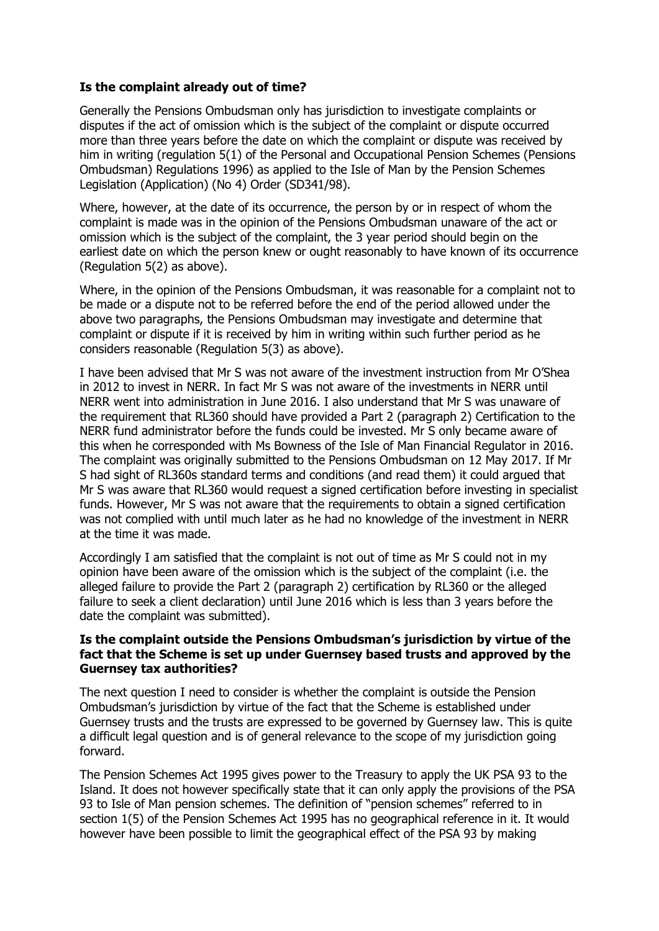# **Is the complaint already out of time?**

Generally the Pensions Ombudsman only has jurisdiction to investigate complaints or disputes if the act of omission which is the subject of the complaint or dispute occurred more than three years before the date on which the complaint or dispute was received by him in writing (regulation 5(1) of the Personal and Occupational Pension Schemes (Pensions Ombudsman) Regulations 1996) as applied to the Isle of Man by the Pension Schemes Legislation (Application) (No 4) Order (SD341/98).

Where, however, at the date of its occurrence, the person by or in respect of whom the complaint is made was in the opinion of the Pensions Ombudsman unaware of the act or omission which is the subject of the complaint, the 3 year period should begin on the earliest date on which the person knew or ought reasonably to have known of its occurrence (Regulation 5(2) as above).

Where, in the opinion of the Pensions Ombudsman, it was reasonable for a complaint not to be made or a dispute not to be referred before the end of the period allowed under the above two paragraphs, the Pensions Ombudsman may investigate and determine that complaint or dispute if it is received by him in writing within such further period as he considers reasonable (Regulation 5(3) as above).

I have been advised that Mr S was not aware of the investment instruction from Mr O'Shea in 2012 to invest in NERR. In fact Mr S was not aware of the investments in NERR until NERR went into administration in June 2016. I also understand that Mr S was unaware of the requirement that RL360 should have provided a Part 2 (paragraph 2) Certification to the NERR fund administrator before the funds could be invested. Mr S only became aware of this when he corresponded with Ms Bowness of the Isle of Man Financial Regulator in 2016. The complaint was originally submitted to the Pensions Ombudsman on 12 May 2017. If Mr S had sight of RL360s standard terms and conditions (and read them) it could argued that Mr S was aware that RL360 would request a signed certification before investing in specialist funds. However, Mr S was not aware that the requirements to obtain a signed certification was not complied with until much later as he had no knowledge of the investment in NERR at the time it was made.

Accordingly I am satisfied that the complaint is not out of time as Mr S could not in my opinion have been aware of the omission which is the subject of the complaint (i.e. the alleged failure to provide the Part 2 (paragraph 2) certification by RL360 or the alleged failure to seek a client declaration) until June 2016 which is less than 3 years before the date the complaint was submitted).

#### **Is the complaint outside the Pensions Ombudsman's jurisdiction by virtue of the fact that the Scheme is set up under Guernsey based trusts and approved by the Guernsey tax authorities?**

The next question I need to consider is whether the complaint is outside the Pension Ombudsman's jurisdiction by virtue of the fact that the Scheme is established under Guernsey trusts and the trusts are expressed to be governed by Guernsey law. This is quite a difficult legal question and is of general relevance to the scope of my jurisdiction going forward.

The Pension Schemes Act 1995 gives power to the Treasury to apply the UK PSA 93 to the Island. It does not however specifically state that it can only apply the provisions of the PSA 93 to Isle of Man pension schemes. The definition of "pension schemes" referred to in section 1(5) of the Pension Schemes Act 1995 has no geographical reference in it. It would however have been possible to limit the geographical effect of the PSA 93 by making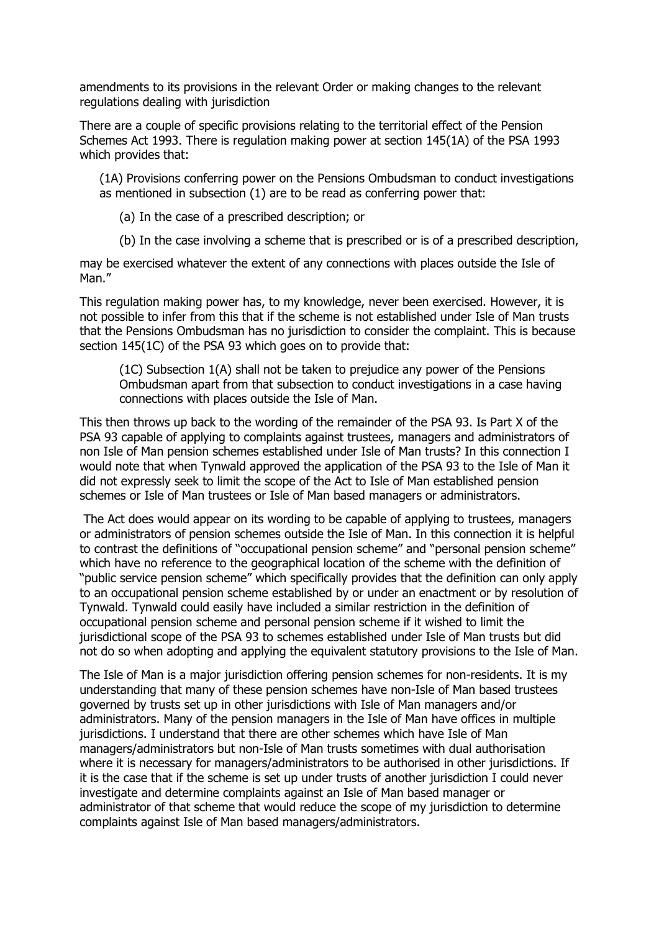amendments to its provisions in the relevant Order or making changes to the relevant regulations dealing with jurisdiction

There are a couple of specific provisions relating to the territorial effect of the Pension Schemes Act 1993. There is regulation making power at section 145(1A) of the PSA 1993 which provides that:

(1A) Provisions conferring power on the Pensions Ombudsman to conduct investigations as mentioned in subsection (1) are to be read as conferring power that:

(a) In the case of a prescribed description; or

(b) In the case involving a scheme that is prescribed or is of a prescribed description,

may be exercised whatever the extent of any connections with places outside the Isle of Man."

This regulation making power has, to my knowledge, never been exercised. However, it is not possible to infer from this that if the scheme is not established under Isle of Man trusts that the Pensions Ombudsman has no jurisdiction to consider the complaint. This is because section 145(1C) of the PSA 93 which goes on to provide that:

(1C) Subsection 1(A) shall not be taken to prejudice any power of the Pensions Ombudsman apart from that subsection to conduct investigations in a case having connections with places outside the Isle of Man.

This then throws up back to the wording of the remainder of the PSA 93. Is Part X of the PSA 93 capable of applying to complaints against trustees, managers and administrators of non Isle of Man pension schemes established under Isle of Man trusts? In this connection I would note that when Tynwald approved the application of the PSA 93 to the Isle of Man it did not expressly seek to limit the scope of the Act to Isle of Man established pension schemes or Isle of Man trustees or Isle of Man based managers or administrators.

The Act does would appear on its wording to be capable of applying to trustees, managers or administrators of pension schemes outside the Isle of Man. In this connection it is helpful to contrast the definitions of "occupational pension scheme" and "personal pension scheme" which have no reference to the geographical location of the scheme with the definition of "public service pension scheme" which specifically provides that the definition can only apply to an occupational pension scheme established by or under an enactment or by resolution of Tynwald. Tynwald could easily have included a similar restriction in the definition of occupational pension scheme and personal pension scheme if it wished to limit the jurisdictional scope of the PSA 93 to schemes established under Isle of Man trusts but did not do so when adopting and applying the equivalent statutory provisions to the Isle of Man.

The Isle of Man is a major jurisdiction offering pension schemes for non-residents. It is my understanding that many of these pension schemes have non-Isle of Man based trustees governed by trusts set up in other jurisdictions with Isle of Man managers and/or administrators. Many of the pension managers in the Isle of Man have offices in multiple jurisdictions. I understand that there are other schemes which have Isle of Man managers/administrators but non-Isle of Man trusts sometimes with dual authorisation where it is necessary for managers/administrators to be authorised in other jurisdictions. If it is the case that if the scheme is set up under trusts of another jurisdiction I could never investigate and determine complaints against an Isle of Man based manager or administrator of that scheme that would reduce the scope of my jurisdiction to determine complaints against Isle of Man based managers/administrators.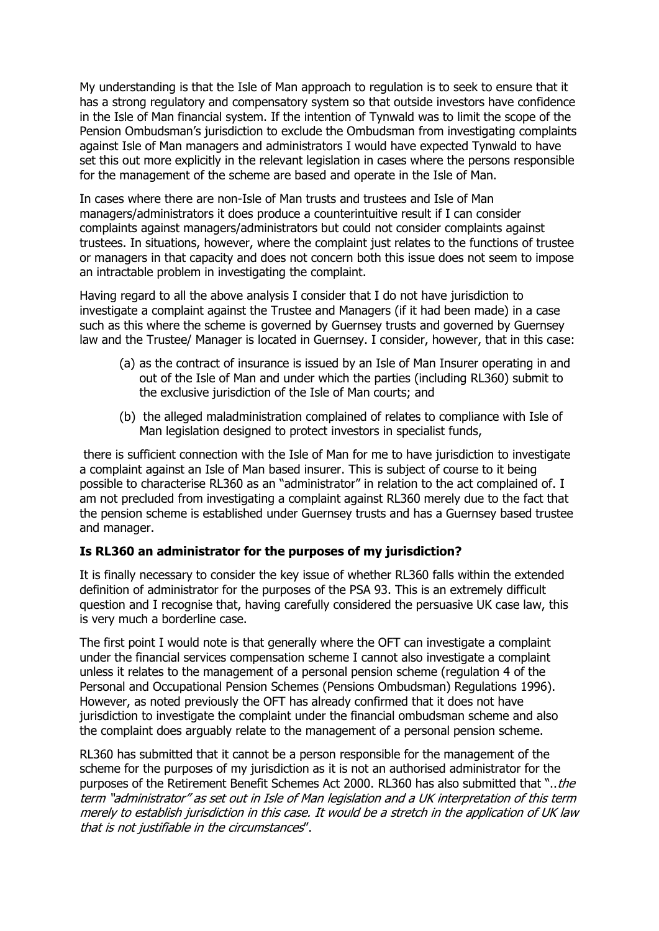My understanding is that the Isle of Man approach to regulation is to seek to ensure that it has a strong regulatory and compensatory system so that outside investors have confidence in the Isle of Man financial system. If the intention of Tynwald was to limit the scope of the Pension Ombudsman's jurisdiction to exclude the Ombudsman from investigating complaints against Isle of Man managers and administrators I would have expected Tynwald to have set this out more explicitly in the relevant legislation in cases where the persons responsible for the management of the scheme are based and operate in the Isle of Man.

In cases where there are non-Isle of Man trusts and trustees and Isle of Man managers/administrators it does produce a counterintuitive result if I can consider complaints against managers/administrators but could not consider complaints against trustees. In situations, however, where the complaint just relates to the functions of trustee or managers in that capacity and does not concern both this issue does not seem to impose an intractable problem in investigating the complaint.

Having regard to all the above analysis I consider that I do not have jurisdiction to investigate a complaint against the Trustee and Managers (if it had been made) in a case such as this where the scheme is governed by Guernsey trusts and governed by Guernsey law and the Trustee/ Manager is located in Guernsey. I consider, however, that in this case:

- (a) as the contract of insurance is issued by an Isle of Man Insurer operating in and out of the Isle of Man and under which the parties (including RL360) submit to the exclusive jurisdiction of the Isle of Man courts; and
- (b) the alleged maladministration complained of relates to compliance with Isle of Man legislation designed to protect investors in specialist funds,

there is sufficient connection with the Isle of Man for me to have jurisdiction to investigate a complaint against an Isle of Man based insurer. This is subject of course to it being possible to characterise RL360 as an "administrator" in relation to the act complained of. I am not precluded from investigating a complaint against RL360 merely due to the fact that the pension scheme is established under Guernsey trusts and has a Guernsey based trustee and manager.

# **Is RL360 an administrator for the purposes of my jurisdiction?**

It is finally necessary to consider the key issue of whether RL360 falls within the extended definition of administrator for the purposes of the PSA 93. This is an extremely difficult question and I recognise that, having carefully considered the persuasive UK case law, this is very much a borderline case.

The first point I would note is that generally where the OFT can investigate a complaint under the financial services compensation scheme I cannot also investigate a complaint unless it relates to the management of a personal pension scheme (regulation 4 of the Personal and Occupational Pension Schemes (Pensions Ombudsman) Regulations 1996). However, as noted previously the OFT has already confirmed that it does not have jurisdiction to investigate the complaint under the financial ombudsman scheme and also the complaint does arguably relate to the management of a personal pension scheme.

RL360 has submitted that it cannot be a person responsible for the management of the scheme for the purposes of my jurisdiction as it is not an authorised administrator for the purposes of the Retirement Benefit Schemes Act 2000. RL360 has also submitted that "..the term "administrator" as set out in Isle of Man legislation and a UK interpretation of this term merely to establish jurisdiction in this case. It would be a stretch in the application of UK law that is not justifiable in the circumstances".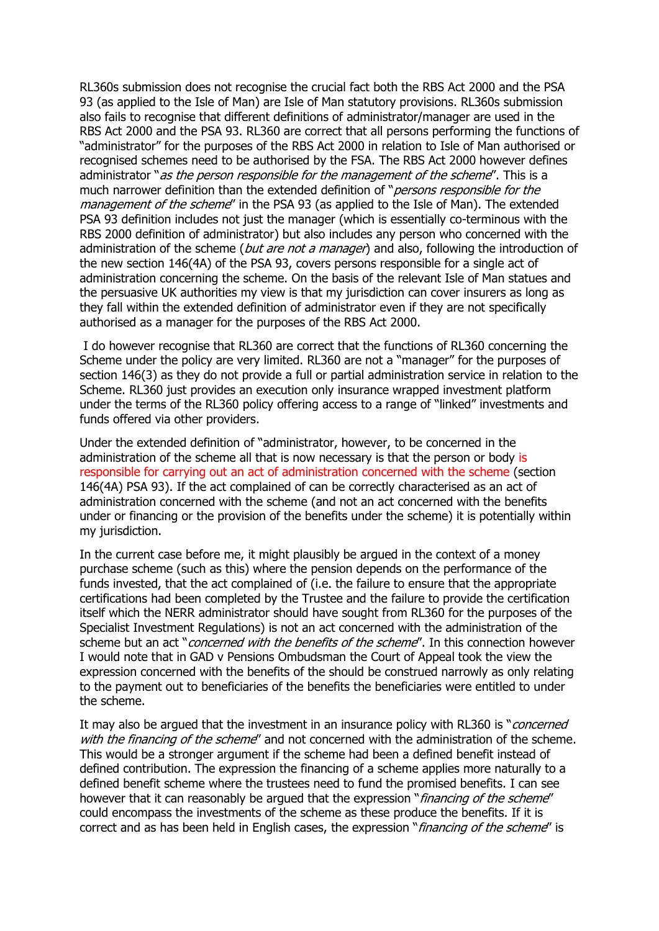RL360s submission does not recognise the crucial fact both the RBS Act 2000 and the PSA 93 (as applied to the Isle of Man) are Isle of Man statutory provisions. RL360s submission also fails to recognise that different definitions of administrator/manager are used in the RBS Act 2000 and the PSA 93. RL360 are correct that all persons performing the functions of "administrator" for the purposes of the RBS Act 2000 in relation to Isle of Man authorised or recognised schemes need to be authorised by the FSA. The RBS Act 2000 however defines administrator "as the person responsible for the management of the scheme". This is a much narrower definition than the extended definition of "*persons responsible for the* management of the scheme" in the PSA 93 (as applied to the Isle of Man). The extended PSA 93 definition includes not just the manager (which is essentially co-terminous with the RBS 2000 definition of administrator) but also includes any person who concerned with the administration of the scheme (*but are not a manager*) and also, following the introduction of the new section 146(4A) of the PSA 93, covers persons responsible for a single act of administration concerning the scheme. On the basis of the relevant Isle of Man statues and the persuasive UK authorities my view is that my jurisdiction can cover insurers as long as they fall within the extended definition of administrator even if they are not specifically authorised as a manager for the purposes of the RBS Act 2000.

I do however recognise that RL360 are correct that the functions of RL360 concerning the Scheme under the policy are very limited. RL360 are not a "manager" for the purposes of section 146(3) as they do not provide a full or partial administration service in relation to the Scheme. RL360 just provides an execution only insurance wrapped investment platform under the terms of the RL360 policy offering access to a range of "linked" investments and funds offered via other providers.

Under the extended definition of "administrator, however, to be concerned in the administration of the scheme all that is now necessary is that the person or body is responsible for carrying out an act of administration concerned with the scheme (section 146(4A) PSA 93). If the act complained of can be correctly characterised as an act of administration concerned with the scheme (and not an act concerned with the benefits under or financing or the provision of the benefits under the scheme) it is potentially within my jurisdiction.

In the current case before me, it might plausibly be argued in the context of a money purchase scheme (such as this) where the pension depends on the performance of the funds invested, that the act complained of (i.e. the failure to ensure that the appropriate certifications had been completed by the Trustee and the failure to provide the certification itself which the NERR administrator should have sought from RL360 for the purposes of the Specialist Investment Regulations) is not an act concerned with the administration of the scheme but an act "*concerned with the benefits of the scheme*". In this connection however I would note that in GAD v Pensions Ombudsman the Court of Appeal took the view the expression concerned with the benefits of the should be construed narrowly as only relating to the payment out to beneficiaries of the benefits the beneficiaries were entitled to under the scheme.

It may also be argued that the investment in an insurance policy with RL360 is "*concerned* with the financing of the scheme" and not concerned with the administration of the scheme. This would be a stronger argument if the scheme had been a defined benefit instead of defined contribution. The expression the financing of a scheme applies more naturally to a defined benefit scheme where the trustees need to fund the promised benefits. I can see however that it can reasonably be argued that the expression "financing of the scheme" could encompass the investments of the scheme as these produce the benefits. If it is correct and as has been held in English cases, the expression "financing of the scheme" is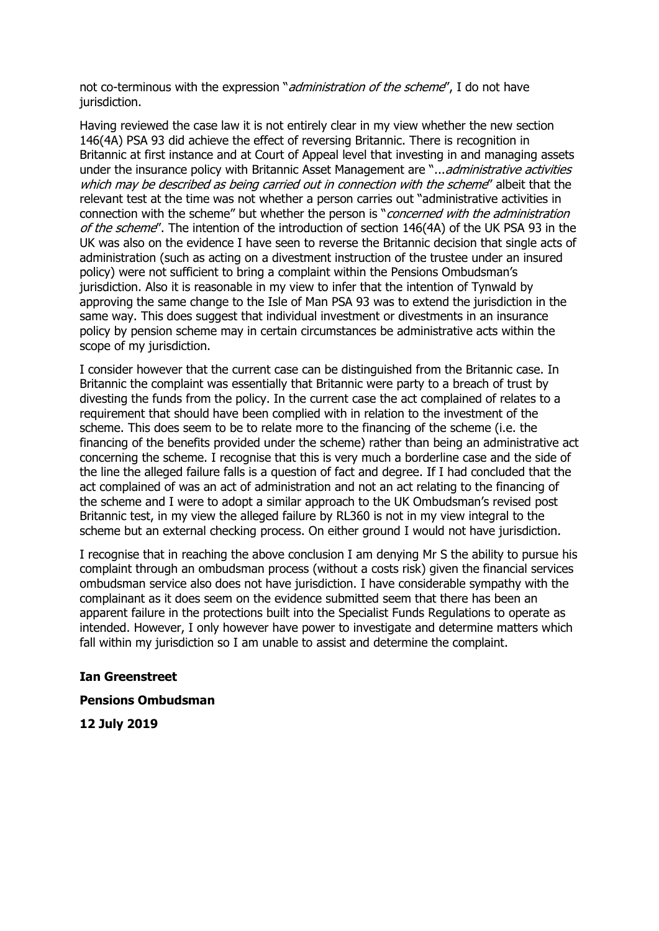not co-terminous with the expression "*administration of the scheme*", I do not have jurisdiction.

Having reviewed the case law it is not entirely clear in my view whether the new section 146(4A) PSA 93 did achieve the effect of reversing Britannic. There is recognition in Britannic at first instance and at Court of Appeal level that investing in and managing assets under the insurance policy with Britannic Asset Management are "...administrative activities which may be described as being carried out in connection with the scheme" albeit that the relevant test at the time was not whether a person carries out "administrative activities in connection with the scheme" but whether the person is "*concerned with the administration* of the scheme". The intention of the introduction of section 146(4A) of the UK PSA 93 in the UK was also on the evidence I have seen to reverse the Britannic decision that single acts of administration (such as acting on a divestment instruction of the trustee under an insured policy) were not sufficient to bring a complaint within the Pensions Ombudsman's jurisdiction. Also it is reasonable in my view to infer that the intention of Tynwald by approving the same change to the Isle of Man PSA 93 was to extend the jurisdiction in the same way. This does suggest that individual investment or divestments in an insurance policy by pension scheme may in certain circumstances be administrative acts within the scope of my jurisdiction.

I consider however that the current case can be distinguished from the Britannic case. In Britannic the complaint was essentially that Britannic were party to a breach of trust by divesting the funds from the policy. In the current case the act complained of relates to a requirement that should have been complied with in relation to the investment of the scheme. This does seem to be to relate more to the financing of the scheme (i.e. the financing of the benefits provided under the scheme) rather than being an administrative act concerning the scheme. I recognise that this is very much a borderline case and the side of the line the alleged failure falls is a question of fact and degree. If I had concluded that the act complained of was an act of administration and not an act relating to the financing of the scheme and I were to adopt a similar approach to the UK Ombudsman's revised post Britannic test, in my view the alleged failure by RL360 is not in my view integral to the scheme but an external checking process. On either ground I would not have jurisdiction.

I recognise that in reaching the above conclusion I am denying Mr S the ability to pursue his complaint through an ombudsman process (without a costs risk) given the financial services ombudsman service also does not have jurisdiction. I have considerable sympathy with the complainant as it does seem on the evidence submitted seem that there has been an apparent failure in the protections built into the Specialist Funds Regulations to operate as intended. However, I only however have power to investigate and determine matters which fall within my jurisdiction so I am unable to assist and determine the complaint.

#### **Ian Greenstreet**

#### **Pensions Ombudsman**

**12 July 2019**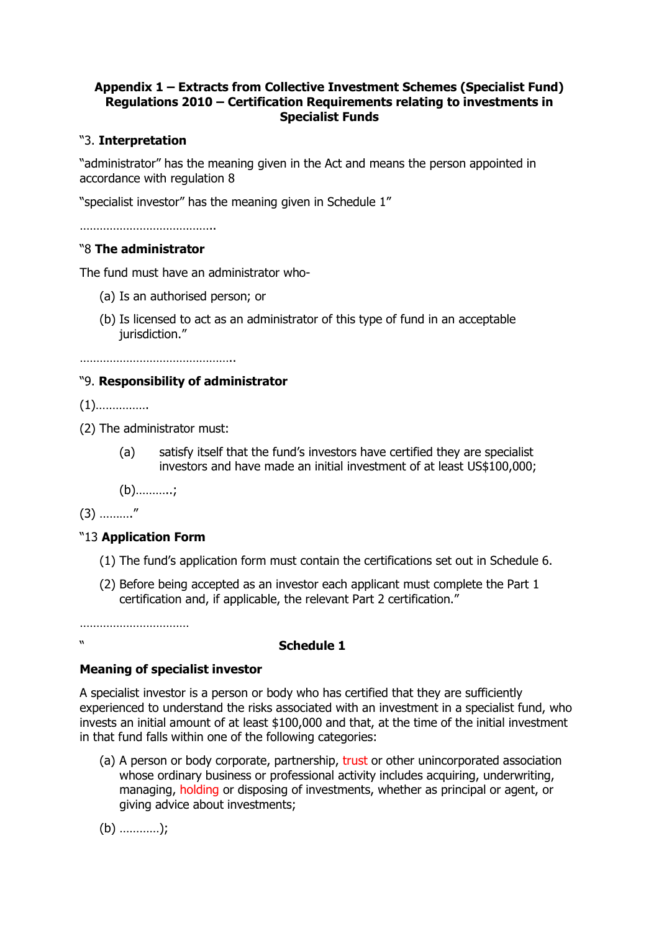# **Appendix 1 – Extracts from Collective Investment Schemes (Specialist Fund) Regulations 2010 – Certification Requirements relating to investments in Specialist Funds**

# "3. **Interpretation**

"administrator" has the meaning given in the Act and means the person appointed in accordance with regulation 8

"specialist investor" has the meaning given in Schedule 1"

…………………………………..

## "8 **The administrator**

The fund must have an administrator who-

- (a) Is an authorised person; or
- (b) Is licensed to act as an administrator of this type of fund in an acceptable iurisdiction."

………………………………………..

## "9. **Responsibility of administrator**

(1)…………….

- (2) The administrator must:
	- (a) satisfy itself that the fund's investors have certified they are specialist investors and have made an initial investment of at least US\$100,000;

(b)………..;

(3) ………."

# "13 **Application Form**

- (1) The fund's application form must contain the certifications set out in Schedule 6.
- (2) Before being accepted as an investor each applicant must complete the Part 1 certification and, if applicable, the relevant Part 2 certification."

……………………………………

# " **Schedule 1**

# **Meaning of specialist investor**

A specialist investor is a person or body who has certified that they are sufficiently experienced to understand the risks associated with an investment in a specialist fund, who invests an initial amount of at least \$100,000 and that, at the time of the initial investment in that fund falls within one of the following categories:

(a) A person or body corporate, partnership, trust or other unincorporated association whose ordinary business or professional activity includes acquiring, underwriting, managing, holding or disposing of investments, whether as principal or agent, or giving advice about investments;

(b) …………);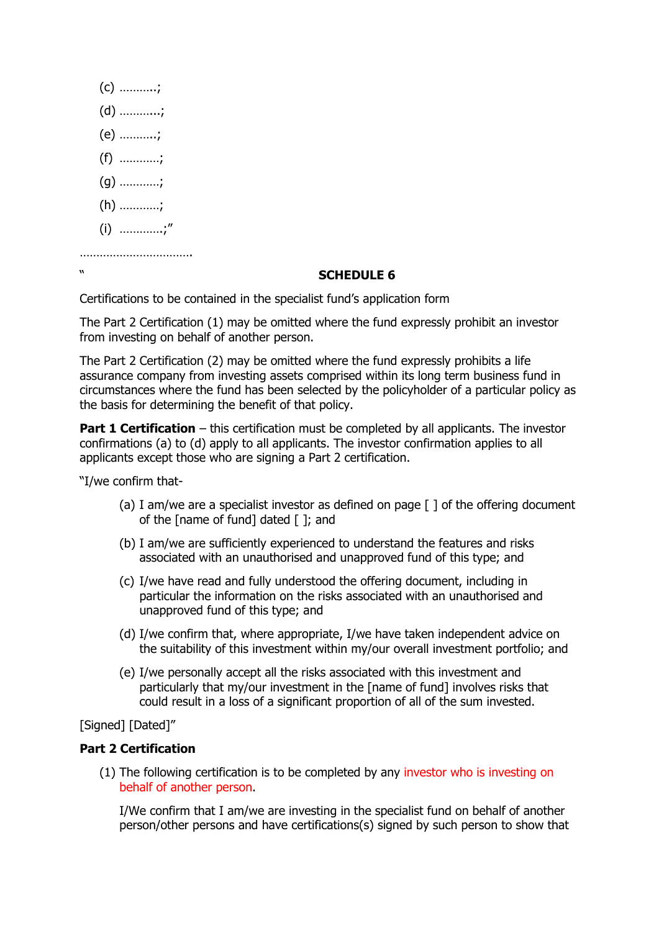

# " **SCHEDULE 6**

Certifications to be contained in the specialist fund's application form

The Part 2 Certification (1) may be omitted where the fund expressly prohibit an investor from investing on behalf of another person.

The Part 2 Certification (2) may be omitted where the fund expressly prohibits a life assurance company from investing assets comprised within its long term business fund in circumstances where the fund has been selected by the policyholder of a particular policy as the basis for determining the benefit of that policy.

**Part 1 Certification** – this certification must be completed by all applicants. The investor confirmations (a) to (d) apply to all applicants. The investor confirmation applies to all applicants except those who are signing a Part 2 certification.

"I/we confirm that-

- (a) I am/we are a specialist investor as defined on page  $\lceil \cdot \rceil$  of the offering document of the [name of fund] dated [ ]; and
- (b) I am/we are sufficiently experienced to understand the features and risks associated with an unauthorised and unapproved fund of this type; and
- (c) I/we have read and fully understood the offering document, including in particular the information on the risks associated with an unauthorised and unapproved fund of this type; and
- (d) I/we confirm that, where appropriate, I/we have taken independent advice on the suitability of this investment within my/our overall investment portfolio; and
- (e) I/we personally accept all the risks associated with this investment and particularly that my/our investment in the [name of fund] involves risks that could result in a loss of a significant proportion of all of the sum invested.

# [Signed] [Dated]"

#### **Part 2 Certification**

(1) The following certification is to be completed by any investor who is investing on behalf of another person.

I/We confirm that I am/we are investing in the specialist fund on behalf of another person/other persons and have certifications(s) signed by such person to show that